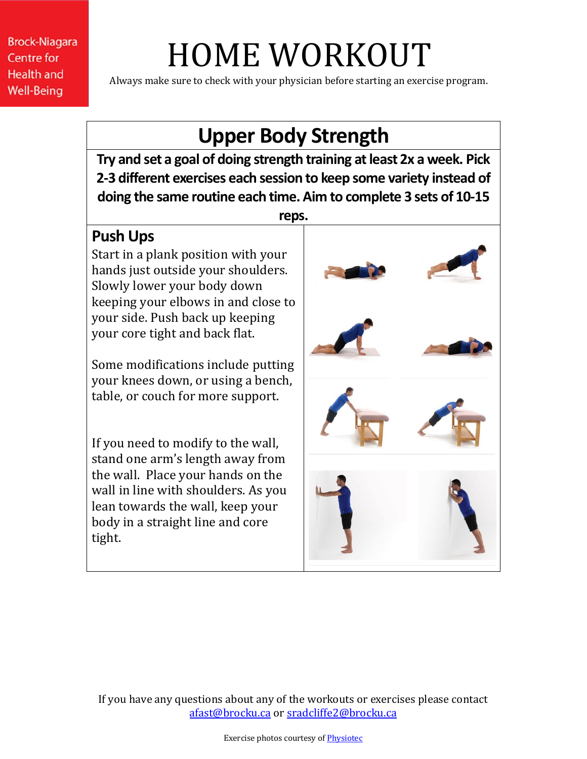# HOME WORKOUT

Always make sure to check with your physician before starting an exercise program.

### **Upper Body Strength**

**Try and set a goal of doing strength training at least 2x a week. Pick 2-3 different exercises each session to keep some variety instead of doing the same routine each time. Aim to complete 3 sets of 10-15** 

#### **reps.**

#### **Push Ups**

Start in a plank position with your hands just outside your shoulders. Slowly lower your body down keeping your elbows in and close to your side. Push back up keeping your core tight and back flat.

Some modifications include putting your knees down, or using a bench, table, or couch for more support.

If you need to modify to the wall, stand one arm's length away from the wall. Place your hands on the wall in line with shoulders. As you lean towards the wall, keep your body in a straight line and core tight.



If you have any questions about any of the workouts or exercises please contact [afast@brocku.ca](mailto:afast@brocku.ca) or [sradcliffe2@brocku.ca](mailto:sradcliffe2@brocku.ca)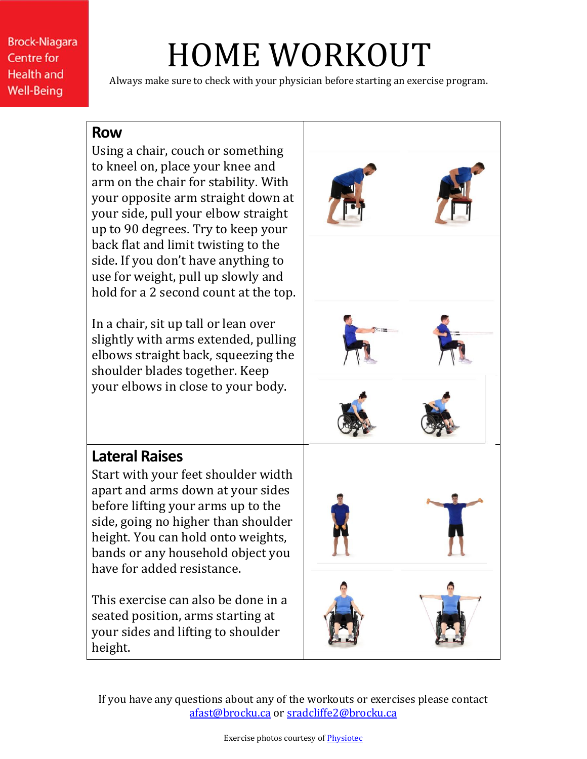## HOME WORKOUT

Always make sure to check with your physician before starting an exercise program.

#### **Row**

Using a chair, couch or something to kneel on, place your knee and arm on the chair for stability. With your opposite arm straight down at your side, pull your elbow straight up to 90 degrees. Try to keep your back flat and limit twisting to the side. If you don't have anything to use for weight, pull up slowly and hold for a 2 second count at the top.

In a chair, sit up tall or lean over slightly with arms extended, pulling elbows straight back, squeezing the shoulder blades together. Keep your elbows in close to your body.

#### **Lateral Raises**

Start with your feet shoulder width apart and arms down at your sides before lifting your arms up to the side, going no higher than shoulder height. You can hold onto weights, bands or any household object you have for added resistance.

This exercise can also be done in a seated position, arms starting at your sides and lifting to shoulder height.

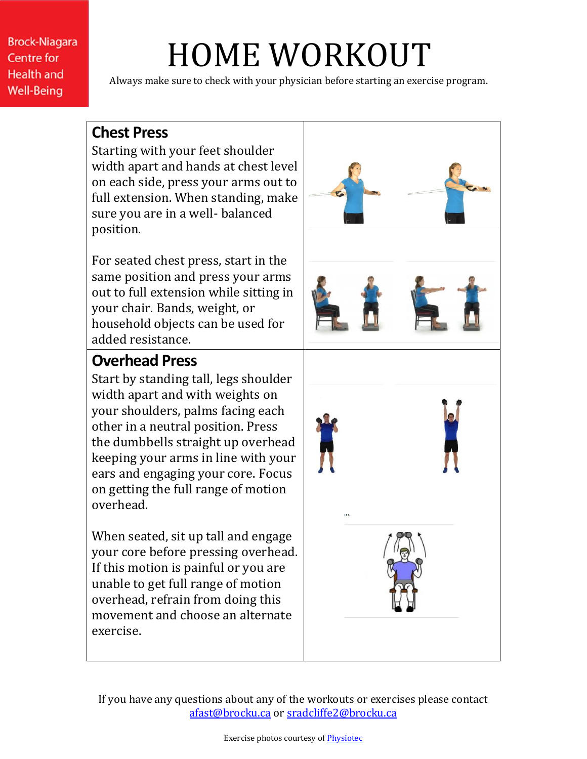## HOME WORKOUT

Always make sure to check with your physician before starting an exercise program.

#### **Chest Press**

Starting with your feet shoulder width apart and hands at chest level on each side, press your arms out to full extension. When standing, make sure you are in a well- balanced position.

For seated chest press, start in the same position and press your arms out to full extension while sitting in your chair. Bands, weight, or household objects can be used for added resistance.

#### **Overhead Press**

Start by standing tall, legs shoulder width apart and with weights on your shoulders, palms facing each other in a neutral position. Press the dumbbells straight up overhead keeping your arms in line with your ears and engaging your core. Focus on getting the full range of motion overhead.

When seated, sit up tall and engage your core before pressing overhead. If this motion is painful or you are unable to get full range of motion overhead, refrain from doing this movement and choose an alternate exercise.



If you have any questions about any of the workouts or exercises please contact [afast@brocku.ca](mailto:afast@brocku.ca) or [sradcliffe2@brocku.ca](mailto:sradcliffe2@brocku.ca)